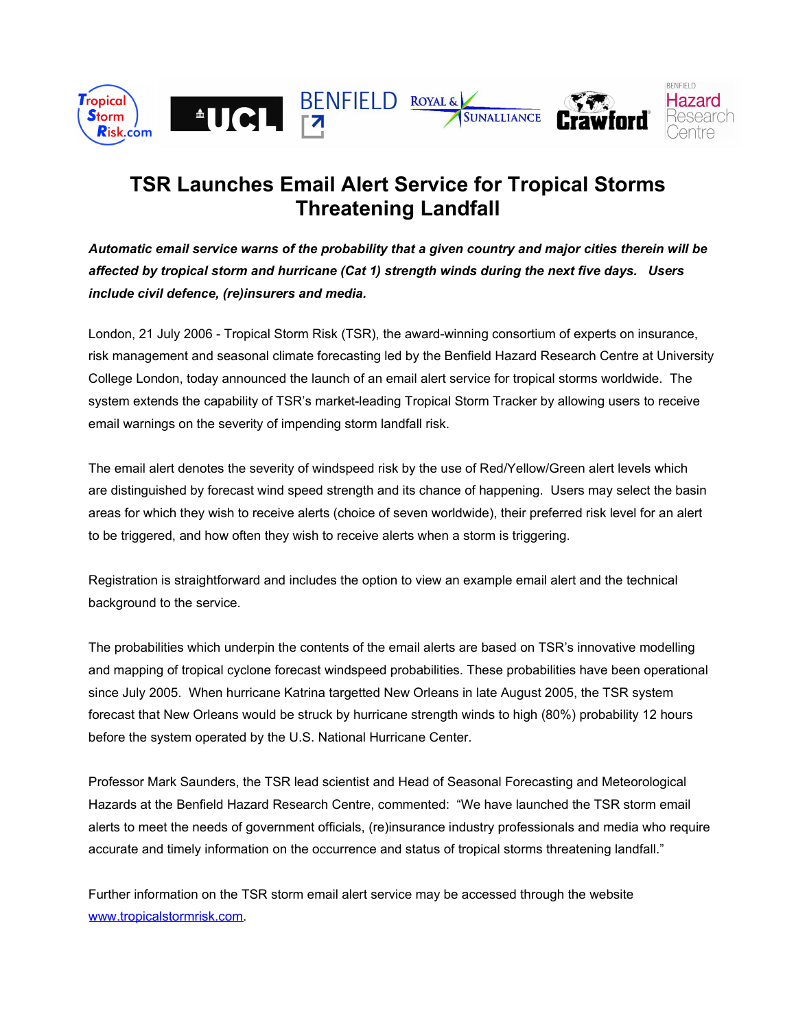

# **TSR Launches Email Alert Service for Tropical Storms Threatening Landfall**

*Automatic email service warns of the probability that a given country and major cities therein will be affected by tropical storm and hurricane (Cat 1) strength winds during the next five days. Users include civil defence, (re)insurers and media.*

London, 21 July 2006 - Tropical Storm Risk (TSR), the award-winning consortium of experts on insurance, risk management and seasonal climate forecasting led by the Benfield Hazard Research Centre at University College London, today announced the launch of an email alert service for tropical storms worldwide. The system extends the capability of TSR's market-leading Tropical Storm Tracker by allowing users to receive email warnings on the severity of impending storm landfall risk.

The email alert denotes the severity of windspeed risk by the use of Red/Yellow/Green alert levels which are distinguished by forecast wind speed strength and its chance of happening. Users may select the basin areas for which they wish to receive alerts (choice of seven worldwide), their preferred risk level for an alert to be triggered, and how often they wish to receive alerts when a storm is triggering.

Registration is straightforward and includes the option to view an example email alert and the technical background to the service.

The probabilities which underpin the contents of the email alerts are based on TSR's innovative modelling and mapping of tropical cyclone forecast windspeed probabilities. These probabilities have been operational since July 2005. When hurricane Katrina targetted New Orleans in late August 2005, the TSR system forecast that New Orleans would be struck by hurricane strength winds to high (80%) probability 12 hours before the system operated by the U.S. National Hurricane Center.

Professor Mark Saunders, the TSR lead scientist and Head of Seasonal Forecasting and Meteorological Hazards at the Benfield Hazard Research Centre, commented: "We have launched the TSR storm email alerts to meet the needs of government officials, (re)insurance industry professionals and media who require accurate and timely information on the occurrence and status of tropical storms threatening landfall."

Further information on the TSR storm email alert service may be accessed through the website [www.tropicalstormrisk.com](http://www.tropicalstormrisk.com/).